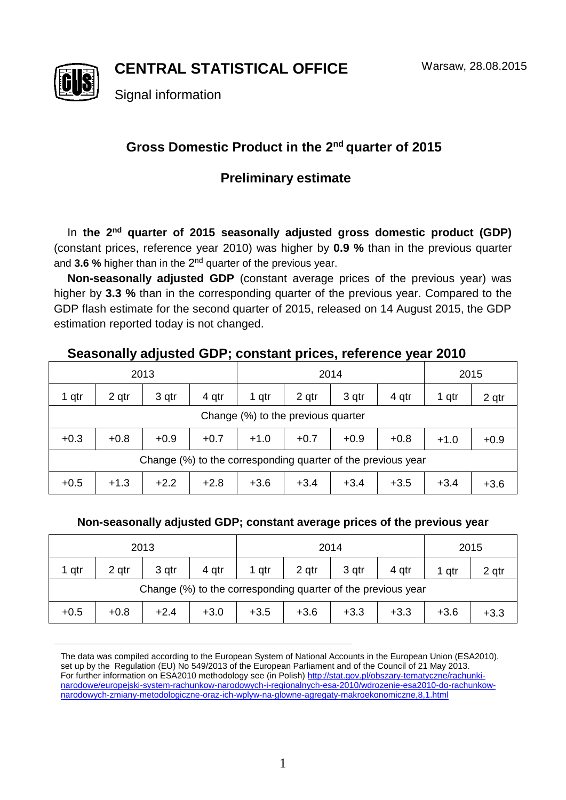**CENTRAL STATISTICAL OFFICE**



Signal information

# Gross Domestic Product in the 2<sup>nd</sup> quarter of 2015

## **Preliminary estimate**

In the 2<sup>nd</sup> quarter of 2015 seasonally adjusted gross domestic product (GDP) (constant prices, reference year 2010) was higher by **0.9 %** than in the previous quarter and 3.6 % higher than in the 2<sup>nd</sup> quarter of the previous year.

**Non-seasonally adjusted GDP** (constant average prices of the previous year) was higher by **3.3 %** than in the corresponding quarter of the previous year. Compared to the GDP flash estimate for the second quarter of 2015, released on 14 August 2015, the GDP estimation reported today is not changed.

## **Seasonally adjusted GDP; constant prices, reference year 2010**

| 2013                                                         |        |        |        | 2014   |        |        |        | 2015   |        |  |  |  |
|--------------------------------------------------------------|--------|--------|--------|--------|--------|--------|--------|--------|--------|--|--|--|
| 1 qtr                                                        | 2 qtr  | 3 qtr  | 4 qtr  | 1 qtr  | 2 qtr  | 3 qtr  | 4 gtr  | 1 qtr  | 2 qtr  |  |  |  |
| Change (%) to the previous quarter                           |        |        |        |        |        |        |        |        |        |  |  |  |
| $+0.3$                                                       | $+0.8$ | $+0.9$ | $+0.7$ | $+1.0$ | $+0.7$ | $+0.9$ | $+0.8$ | $+1.0$ | $+0.9$ |  |  |  |
| Change (%) to the corresponding quarter of the previous year |        |        |        |        |        |        |        |        |        |  |  |  |
| $+0.5$                                                       | $+1.3$ | $+2.2$ | $+2.8$ | $+3.6$ | $+3.4$ | $+3.4$ | $+3.5$ | $+3.4$ | $+3.6$ |  |  |  |

### **Non-seasonally adjusted GDP; constant average prices of the previous year**

| 2013                                                         |        |        |        | 2014   |        |        |        | 2015   |        |  |
|--------------------------------------------------------------|--------|--------|--------|--------|--------|--------|--------|--------|--------|--|
| 1 qtr                                                        | 2 gtr  | 3 gtr  | 4 qtr  | 1 qtr  | 2 gtr  | 3 qtr  | 4 qtr  | 1 qtr  | 2 qtr  |  |
| Change (%) to the corresponding quarter of the previous year |        |        |        |        |        |        |        |        |        |  |
| $+0.5$                                                       | $+0.8$ | $+2.4$ | $+3.0$ | $+3.5$ | $+3.6$ | $+3.3$ | $+3.3$ | $+3.6$ | $+3.3$ |  |

The data was compiled according to the European System of National Accounts in the European Union (ESA2010), set up by the Regulation (EU) No 549/2013 of the European Parliament and of the Council of 21 May 2013. For further information on ESA2010 methodology see (in Polish[\) http://stat.gov.pl/obszary-tematyczne/rachunki](http://stat.gov.pl/obszary-tematyczne/rachunki-narodowe/europejski-system-rachunkow-narodowych-i-regionalnych-esa-2010/wdrozenie-esa2010-do-rachunkow-narodowych-zmiany-metodologiczne-oraz-ich-wplyw-na-glowne-agregaty-makroekonomiczne,8,1.html)[narodowe/europejski-system-rachunkow-narodowych-i-regionalnych-esa-2010/wdrozenie-esa2010-do-rachunkow](http://stat.gov.pl/obszary-tematyczne/rachunki-narodowe/europejski-system-rachunkow-narodowych-i-regionalnych-esa-2010/wdrozenie-esa2010-do-rachunkow-narodowych-zmiany-metodologiczne-oraz-ich-wplyw-na-glowne-agregaty-makroekonomiczne,8,1.html)[narodowych-zmiany-metodologiczne-oraz-ich-wplyw-na-glowne-agregaty-makroekonomiczne,8,1.html](http://stat.gov.pl/obszary-tematyczne/rachunki-narodowe/europejski-system-rachunkow-narodowych-i-regionalnych-esa-2010/wdrozenie-esa2010-do-rachunkow-narodowych-zmiany-metodologiczne-oraz-ich-wplyw-na-glowne-agregaty-makroekonomiczne,8,1.html)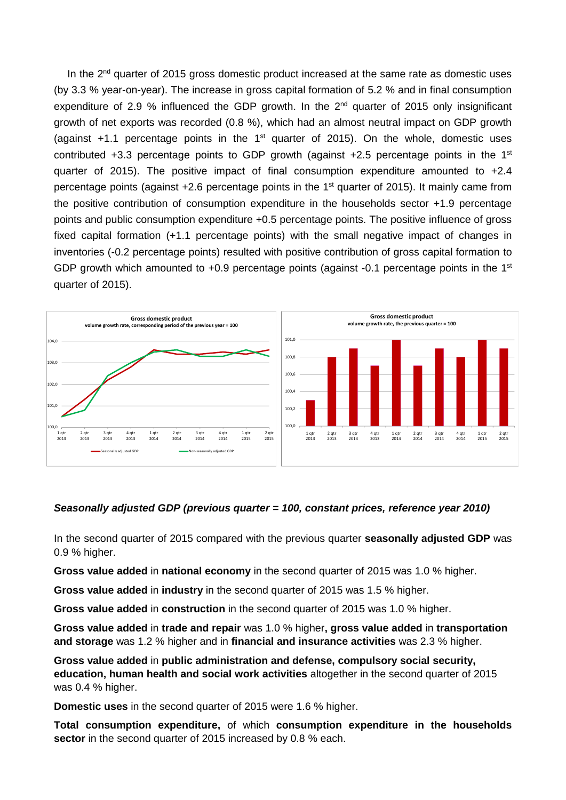In the  $2^{nd}$  quarter of 2015 gross domestic product increased at the same rate as domestic uses (by 3.3 % year-on-year). The increase in gross capital formation of 5.2 % and in final consumption expenditure of 2.9 % influenced the GDP growth. In the  $2<sup>nd</sup>$  quarter of 2015 only insignificant growth of net exports was recorded (0.8 %), which had an almost neutral impact on GDP growth (against  $+1.1$  percentage points in the  $1<sup>st</sup>$  quarter of 2015). On the whole, domestic uses contributed  $+3.3$  percentage points to GDP growth (against  $+2.5$  percentage points in the 1<sup>st</sup> quarter of 2015). The positive impact of final consumption expenditure amounted to +2.4 percentage points (against +2.6 percentage points in the 1<sup>st</sup> quarter of 2015). It mainly came from the positive contribution of consumption expenditure in the households sector +1.9 percentage points and public consumption expenditure +0.5 percentage points. The positive influence of gross fixed capital formation (+1.1 percentage points) with the small negative impact of changes in inventories (-0.2 percentage points) resulted with positive contribution of gross capital formation to GDP growth which amounted to  $+0.9$  percentage points (against -0.1 percentage points in the 1st quarter of 2015).



#### *Seasonally adjusted GDP (previous quarter = 100, constant prices, reference year 2010)*

In the second quarter of 2015 compared with the previous quarter **seasonally adjusted GDP** was 0.9 % higher.

**Gross value added** in **national economy** in the second quarter of 2015 was 1.0 % higher.

**Gross value added** in **industry** in the second quarter of 2015 was 1.5 % higher.

**Gross value added** in **construction** in the second quarter of 2015 was 1.0 % higher.

**Gross value added** in **trade and repair** was 1.0 % higher**, gross value added** in **transportation and storage** was 1.2 % higher and in **financial and insurance activities** was 2.3 % higher.

**Gross value added** in **public administration and defense, compulsory social security, education, human health and social work activities** altogether in the second quarter of 2015 was 0.4 % higher.

**Domestic uses** in the second quarter of 2015 were 1.6 % higher.

**Total consumption expenditure,** of which **consumption expenditure in the households sector** in the second quarter of 2015 increased by 0.8 % each.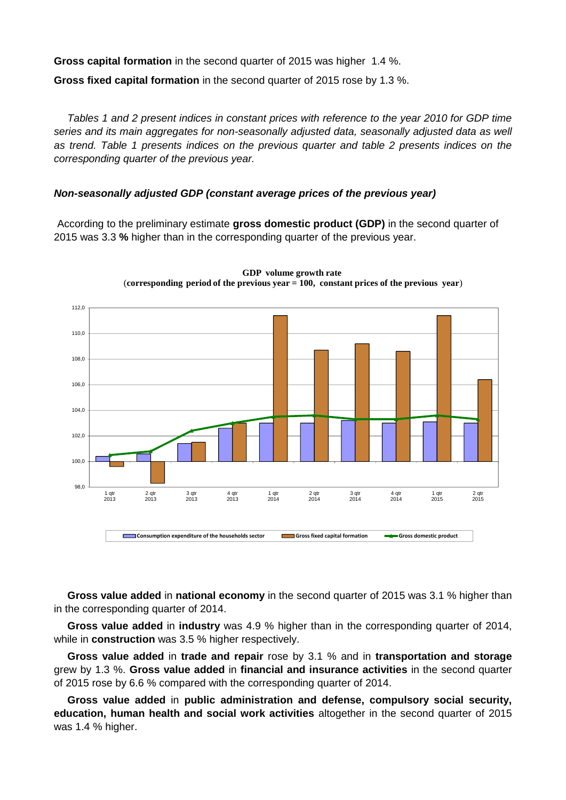**Gross capital formation** in the second quarter of 2015 was higher 1.4 %. **Gross fixed capital formation** in the second quarter of 2015 rose by 1.3 %.

*Tables 1 and 2 present indices in constant prices with reference to the year 2010 for GDP time series and its main aggregates for non-seasonally adjusted data, seasonally adjusted data as well as trend. Table 1 presents indices on the previous quarter and table 2 presents indices on the corresponding quarter of the previous year.* 

### *Non-seasonally adjusted GDP (constant average prices of the previous year)*

According to the preliminary estimate **gross domestic product (GDP)** in the second quarter of 2015 was 3.3 **%** higher than in the corresponding quarter of the previous year.



**GDP volume growth rate** (**corresponding period of the previous year = 100, constant prices of the previous year**)

**Gross value added** in **national economy** in the second quarter of 2015 was 3.1 % higher than in the corresponding quarter of 2014.

**Gross value added** in **industry** was 4.9 % higher than in the corresponding quarter of 2014, while in **construction** was 3.5 % higher respectively.

**Gross value added** in **trade and repair** rose by 3.1 % and in **transportation and storage** grew by 1.3 %. **Gross value added** in **financial and insurance activities** in the second quarter of 2015 rose by 6.6 % compared with the corresponding quarter of 2014.

**Gross value added** in **public administration and defense, compulsory social security, education, human health and social work activities** altogether in the second quarter of 2015 was 1.4 % higher.